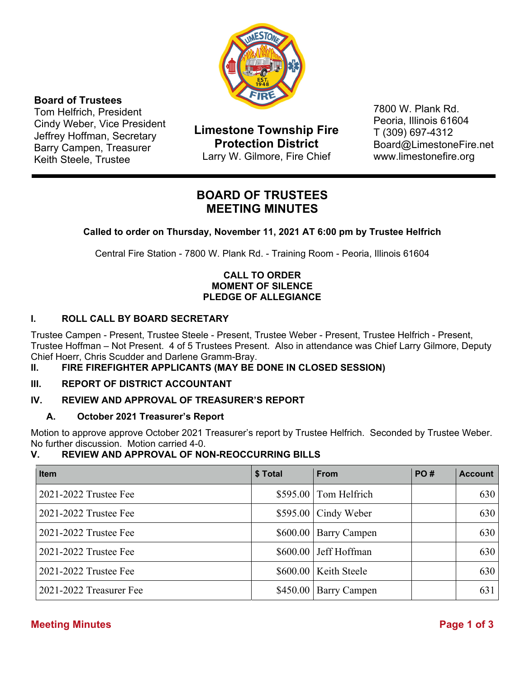

### **Board of Trustees**

Tom Helfrich, President Cindy Weber, Vice President Jeffrey Hoffman, Secretary Barry Campen, Treasurer Keith Steele, Trustee

**Limestone Township Fire Protection District**  Larry W. Gilmore, Fire Chief

7800 W. Plank Rd. Peoria, Illinois 61604 T (309) 697-4312 Board@LimestoneFire.net www.limestonefire.org

# **BOARD OF TRUSTEES MEETING MINUTES**

**Called to order on Thursday, November 11, 2021 AT 6:00 pm by Trustee Helfrich** 

Central Fire Station - 7800 W. Plank Rd. - Training Room - Peoria, Illinois 61604

# **CALL TO ORDER MOMENT OF SILENCE PLEDGE OF ALLEGIANCE**

# **I. ROLL CALL BY BOARD SECRETARY**

Trustee Campen - Present, Trustee Steele - Present, Trustee Weber - Present, Trustee Helfrich - Present, Trustee Hoffman – Not Present. 4 of 5 Trustees Present. Also in attendance was Chief Larry Gilmore, Deputy Chief Hoerr, Chris Scudder and Darlene Gramm-Bray.

# **II. FIRE FIREFIGHTER APPLICANTS (MAY BE DONE IN CLOSED SESSION)**

# **III. REPORT OF DISTRICT ACCOUNTANT**

# **IV. REVIEW AND APPROVAL OF TREASURER'S REPORT**

# **A. October 2021 Treasurer's Report**

Motion to approve approve October 2021 Treasurer's report by Trustee Helfrich. Seconded by Trustee Weber. No further discussion. Motion carried 4-0.

# **V. REVIEW AND APPROVAL OF NON-REOCCURRING BILLS**

| <b>Item</b>             | \$ Total | <b>From</b>              | <b>PO#</b> | <b>Account</b> |
|-------------------------|----------|--------------------------|------------|----------------|
| 2021-2022 Trustee Fee   |          | $$595.00$ Tom Helfrich   |            | 630            |
| 2021-2022 Trustee Fee   |          | $$595.00$ Cindy Weber    |            | 630            |
| 2021-2022 Trustee Fee   |          | $$600.00$ Barry Campen   |            | 630            |
| 2021-2022 Trustee Fee   |          | \$600.00 Jeff Hoffman    |            | 630            |
| 2021-2022 Trustee Fee   |          | \$600.00   Keith Steele  |            | 630            |
| 2021-2022 Treasurer Fee |          | $$450.00$   Barry Campen |            | 631            |

# **Meeting Minutes Page 1 of 3**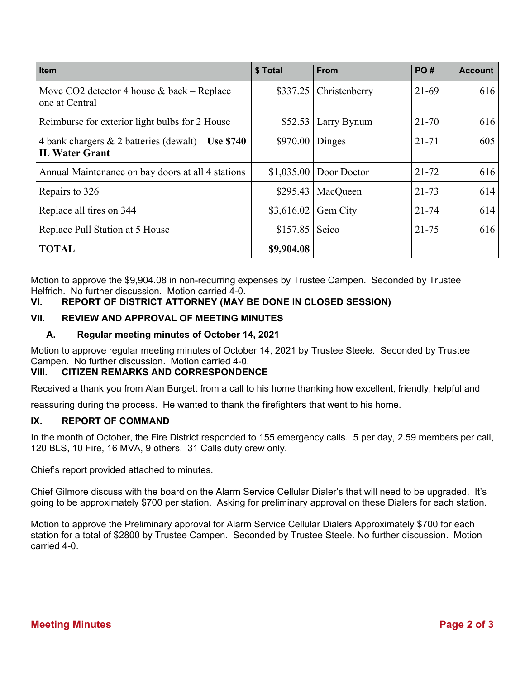| <b>Item</b>                                                                    | \$ Total   | <b>From</b>             | PO#       | <b>Account</b> |
|--------------------------------------------------------------------------------|------------|-------------------------|-----------|----------------|
| Move CO2 detector 4 house $&$ back – Replace<br>one at Central                 | \$337.25   | Christenberry           | 21-69     | 616            |
| Reimburse for exterior light bulbs for 2 House                                 | \$52.53    | Larry Bynum             | $21 - 70$ | 616            |
| 4 bank chargers $\&$ 2 batteries (dewalt) – Use \$740<br><b>IL Water Grant</b> | \$970.00   | Dinges                  | $21 - 71$ | 605            |
| Annual Maintenance on bay doors at all 4 stations                              |            | $$1,035.00$ Door Doctor | $21 - 72$ | 616            |
| Repairs to 326                                                                 | \$295.43   | MacQueen                | $21 - 73$ | 614            |
| Replace all tires on 344                                                       | \$3,616.02 | Gem City                | $21 - 74$ | 614            |
| Replace Pull Station at 5 House                                                | \$157.85   | Seico                   | $21 - 75$ | 616            |
| <b>TOTAL</b>                                                                   | \$9,904.08 |                         |           |                |

Motion to approve the \$9,904.08 in non-recurring expenses by Trustee Campen. Seconded by Trustee Helfrich. No further discussion. Motion carried 4-0.

# **VI. REPORT OF DISTRICT ATTORNEY (MAY BE DONE IN CLOSED SESSION)**

### **VII. REVIEW AND APPROVAL OF MEETING MINUTES**

#### **A. Regular meeting minutes of October 14, 2021**

Motion to approve regular meeting minutes of October 14, 2021 by Trustee Steele. Seconded by Trustee Campen. No further discussion. Motion carried 4-0.

#### **VIII. CITIZEN REMARKS AND CORRESPONDENCE**

Received a thank you from Alan Burgett from a call to his home thanking how excellent, friendly, helpful and

reassuring during the process. He wanted to thank the firefighters that went to his home.

#### **IX. REPORT OF COMMAND**

In the month of October, the Fire District responded to 155 emergency calls. 5 per day, 2.59 members per call, 120 BLS, 10 Fire, 16 MVA, 9 others. 31 Calls duty crew only.

Chief's report provided attached to minutes.

Chief Gilmore discuss with the board on the Alarm Service Cellular Dialer's that will need to be upgraded. It's going to be approximately \$700 per station. Asking for preliminary approval on these Dialers for each station.

Motion to approve the Preliminary approval for Alarm Service Cellular Dialers Approximately \$700 for each station for a total of \$2800 by Trustee Campen. Seconded by Trustee Steele. No further discussion. Motion carried 4-0.